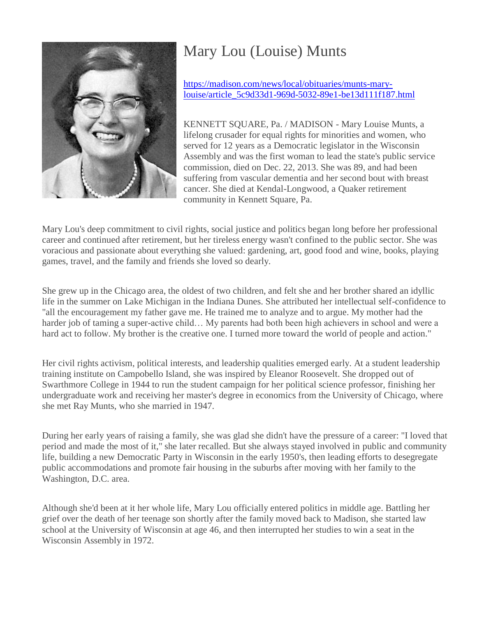

## Mary Lou (Louise) Munts

[https://madison.com/news/local/obituaries/munts-mary](https://madison.com/news/local/obituaries/munts-mary-louise/article_5c9d33d1-969d-5032-89e1-be13d111f187.html)[louise/article\\_5c9d33d1-969d-5032-89e1-be13d111f187.html](https://madison.com/news/local/obituaries/munts-mary-louise/article_5c9d33d1-969d-5032-89e1-be13d111f187.html)

KENNETT SQUARE, Pa. / MADISON - Mary Louise Munts, a lifelong crusader for equal rights for minorities and women, who served for 12 years as a Democratic legislator in the Wisconsin Assembly and was the first woman to lead the state's public service commission, died on Dec. 22, 2013. She was 89, and had been suffering from vascular dementia and her second bout with breast cancer. She died at Kendal-Longwood, a Quaker retirement community in Kennett Square, Pa.

Mary Lou's deep commitment to civil rights, social justice and politics began long before her professional career and continued after retirement, but her tireless energy wasn't confined to the public sector. She was voracious and passionate about everything she valued: gardening, art, good food and wine, books, playing games, travel, and the family and friends she loved so dearly.

She grew up in the Chicago area, the oldest of two children, and felt she and her brother shared an idyllic life in the summer on Lake Michigan in the Indiana Dunes. She attributed her intellectual self-confidence to "all the encouragement my father gave me. He trained me to analyze and to argue. My mother had the harder job of taming a super-active child… My parents had both been high achievers in school and were a hard act to follow. My brother is the creative one. I turned more toward the world of people and action."

Her civil rights activism, political interests, and leadership qualities emerged early. At a student leadership training institute on Campobello Island, she was inspired by Eleanor Roosevelt. She dropped out of Swarthmore College in 1944 to run the student campaign for her political science professor, finishing her undergraduate work and receiving her master's degree in economics from the University of Chicago, where she met Ray Munts, who she married in 1947.

During her early years of raising a family, she was glad she didn't have the pressure of a career: "I loved that period and made the most of it," she later recalled. But she always stayed involved in public and community life, building a new Democratic Party in Wisconsin in the early 1950's, then leading efforts to desegregate public accommodations and promote fair housing in the suburbs after moving with her family to the Washington, D.C. area.

Although she'd been at it her whole life, Mary Lou officially entered politics in middle age. Battling her grief over the death of her teenage son shortly after the family moved back to Madison, she started law school at the University of Wisconsin at age 46, and then interrupted her studies to win a seat in the Wisconsin Assembly in 1972.